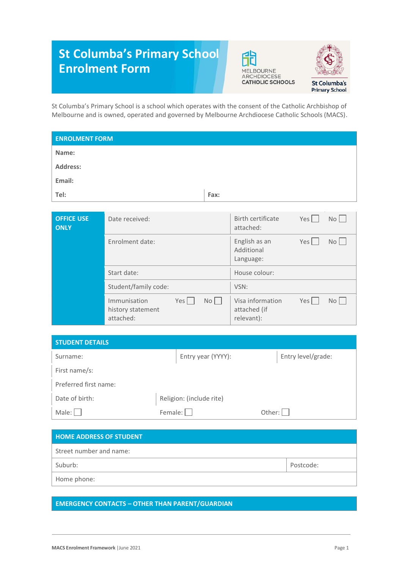# **St Columba's Primary School Enrolment Form**





St Columba's Primary School is a school which operates with the consent of the Catholic Archbishop of Melbourne and is owned, operated and governed by Melbourne Archdiocese Catholic Schools (MACS).

| <b>ENROLMENT FORM</b>            |                                                           |      |                                                |               |
|----------------------------------|-----------------------------------------------------------|------|------------------------------------------------|---------------|
| Name:                            |                                                           |      |                                                |               |
| <b>Address:</b>                  |                                                           |      |                                                |               |
| Email:                           |                                                           |      |                                                |               |
| Tel:                             |                                                           | Fax: |                                                |               |
|                                  |                                                           |      |                                                |               |
| <b>OFFICE USE</b><br><b>ONLY</b> | Date received:                                            |      | Birth certificate<br>attached:                 | Yes<br>No     |
|                                  | Enrolment date:                                           |      | English as an<br>Additional<br>Language:       | Yes<br>No     |
|                                  | Start date:                                               |      | House colour:                                  |               |
|                                  | Student/family code:                                      |      | VSN:                                           |               |
|                                  | $Yes$  <br>Immunisation<br>history statement<br>attached: | No   | Visa information<br>attached (if<br>relevant): | $Yes$  <br>No |

| <b>STUDENT DETAILS</b> |                          |                    |  |  |  |
|------------------------|--------------------------|--------------------|--|--|--|
| Surname:               | Entry year (YYYY):       | Entry level/grade: |  |  |  |
| First name/s:          |                          |                    |  |  |  |
| Preferred first name:  |                          |                    |  |  |  |
| Date of birth:         | Religion: (include rite) |                    |  |  |  |
| Male:                  | Female:                  | Other:             |  |  |  |

| <b>HOME ADDRESS OF STUDENT</b> |           |
|--------------------------------|-----------|
| Street number and name:        |           |
| Suburb:                        | Postcode: |
| Home phone:                    |           |

### **EMERGENCY CONTACTS – OTHER THAN PARENT/GUARDIAN**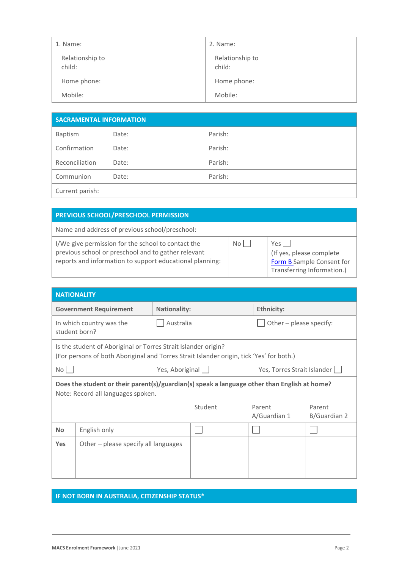| 1. Name:                  | 2. Name:                  |
|---------------------------|---------------------------|
| Relationship to<br>child: | Relationship to<br>child: |
| Home phone:               | Home phone:               |
| Mobile:                   | Mobile:                   |

| <b>SACRAMENTAL INFORMATION</b> |       |         |  |
|--------------------------------|-------|---------|--|
| Baptism                        | Date: | Parish: |  |
| Confirmation                   | Date: | Parish: |  |
| Reconciliation                 | Date: | Parish: |  |
| Communion                      | Date: | Parish: |  |
| Current parish:                |       |         |  |

#### **PREVIOUS SCHOOL/PRESCHOOL PERMISSION**

Name and address of previous school/preschool:

I/We give permission for the school to contact the previous school or preschool and to gather relevant reports and information to support educational planning:

| No |  |  |
|----|--|--|
|    |  |  |
|    |  |  |

 $Yes$ (If yes, please complete **Form B** Sample Consent for Transferring Information.)

| <b>NATIONALITY</b>                                                                                                                                         |                                        |                     |         |                             |                         |  |
|------------------------------------------------------------------------------------------------------------------------------------------------------------|----------------------------------------|---------------------|---------|-----------------------------|-------------------------|--|
| <b>Government Requirement</b>                                                                                                                              |                                        | <b>Nationality:</b> |         | <b>Ethnicity:</b>           |                         |  |
| In which country was the<br>student born?                                                                                                                  |                                        | Australia           |         |                             | Other - please specify: |  |
| Is the student of Aboriginal or Torres Strait Islander origin?<br>(For persons of both Aboriginal and Torres Strait Islander origin, tick 'Yes' for both.) |                                        |                     |         |                             |                         |  |
| No<br>Yes, Aboriginal                                                                                                                                      |                                        |                     |         | Yes, Torres Strait Islander |                         |  |
| Does the student or their parent(s)/guardian(s) speak a language other than English at home?<br>Note: Record all languages spoken.                         |                                        |                     |         |                             |                         |  |
|                                                                                                                                                            |                                        |                     | Student | Parent<br>A/Guardian 1      | Parent<br>B/Guardian 2  |  |
| <b>No</b>                                                                                                                                                  | English only                           |                     |         |                             |                         |  |
| Yes                                                                                                                                                        | Other $-$ please specify all languages |                     |         |                             |                         |  |
|                                                                                                                                                            |                                        |                     |         |                             |                         |  |

#### **IF NOT BORN IN AUSTRALIA, CITIZENSHIP STATUS\***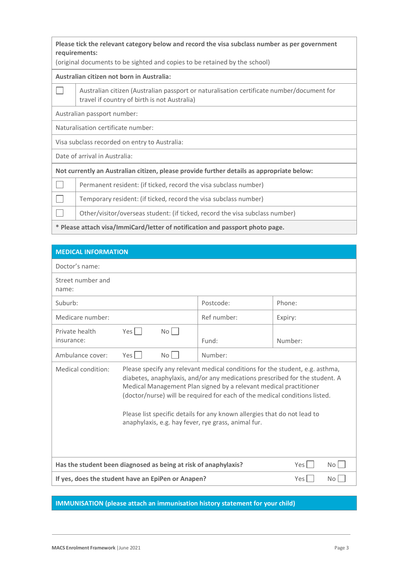| Please tick the relevant category below and record the visa subclass number as per government |  |
|-----------------------------------------------------------------------------------------------|--|
| requirements:                                                                                 |  |

(original documents to be sighted and copies to be retained by the school)

#### **Australian citizen not born in Australia:**

| Australian citizen (Australian passport or naturalisation certificate number/document for |
|-------------------------------------------------------------------------------------------|
| travel if country of birth is not Australia)                                              |

Australian passport number:

Naturalisation certificate number:

Visa subclass recorded on entry to Australia:

Date of arrival in Australia:

**Not currently an Australian citizen, please provide further details as appropriate below:**

 $\Box$ Permanent resident: (if ticked, record the visa subclass number)

| Temporary resident: (if ticked, record the visa subclass number) |  |  |
|------------------------------------------------------------------|--|--|
|                                                                  |  |  |

┐ Other/visitor/overseas student: (if ticked, record the visa subclass number)

**\* Please attach visa/ImmiCard/letter of notification and passport photo page.**

| <b>MEDICAL INFORMATION</b>                                      |                                                                                                                                                                                                                                                                                                                                                                                                                                                   |      |             |               |
|-----------------------------------------------------------------|---------------------------------------------------------------------------------------------------------------------------------------------------------------------------------------------------------------------------------------------------------------------------------------------------------------------------------------------------------------------------------------------------------------------------------------------------|------|-------------|---------------|
| Doctor's name:                                                  |                                                                                                                                                                                                                                                                                                                                                                                                                                                   |      |             |               |
| Street number and<br>name:                                      |                                                                                                                                                                                                                                                                                                                                                                                                                                                   |      |             |               |
| Suburb:                                                         |                                                                                                                                                                                                                                                                                                                                                                                                                                                   |      | Postcode:   | Phone:        |
| Medicare number:                                                |                                                                                                                                                                                                                                                                                                                                                                                                                                                   |      | Ref number: | Expiry:       |
| Private health<br>insurance:                                    | $Yes \Box$                                                                                                                                                                                                                                                                                                                                                                                                                                        | $No$ | Fund:       | Number:       |
| Ambulance cover:                                                | Yes                                                                                                                                                                                                                                                                                                                                                                                                                                               | No   | Number:     |               |
| Medical condition:                                              | Please specify any relevant medical conditions for the student, e.g. asthma,<br>diabetes, anaphylaxis, and/or any medications prescribed for the student. A<br>Medical Management Plan signed by a relevant medical practitioner<br>(doctor/nurse) will be required for each of the medical conditions listed.<br>Please list specific details for any known allergies that do not lead to<br>anaphylaxis, e.g. hay fever, rye grass, animal fur. |      |             |               |
|                                                                 |                                                                                                                                                                                                                                                                                                                                                                                                                                                   |      |             |               |
| Has the student been diagnosed as being at risk of anaphylaxis? |                                                                                                                                                                                                                                                                                                                                                                                                                                                   |      |             | Yes  <br>No L |
|                                                                 | If yes, does the student have an EpiPen or Anapen?<br>Yes<br>No <sub>1</sub>                                                                                                                                                                                                                                                                                                                                                                      |      |             |               |

## **IMMUNISATION (please attach an immunisation history statement for your child)**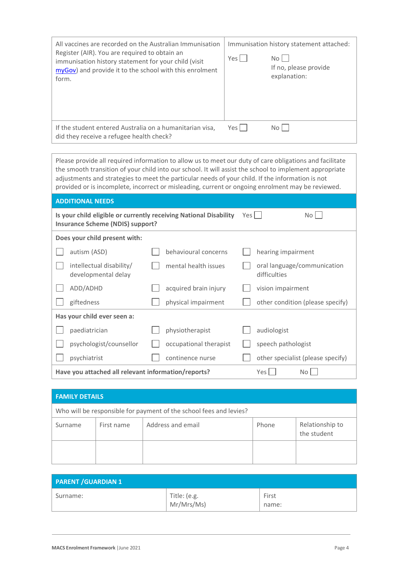| All vaccines are recorded on the Australian Immunisation<br>Register (AIR). You are required to obtain an<br>immunisation history statement for your child (visit<br>myGov) and provide it to the school with this enrolment<br>form. | Yes   | Immunisation history statement attached:<br>Nol<br>If no, please provide<br>explanation: |
|---------------------------------------------------------------------------------------------------------------------------------------------------------------------------------------------------------------------------------------|-------|------------------------------------------------------------------------------------------|
| If the student entered Australia on a humanitarian visa,<br>did they receive a refugee health check?                                                                                                                                  | Yes l | Nol                                                                                      |

Please provide all required information to allow us to meet our duty of care obligations and facilitate the smooth transition of your child into our school. It will assist the school to implement appropriate adjustments and strategies to meet the particular needs of your child. If the information is not provided or is incomplete, incorrect or misleading, current or ongoing enrolment may be reviewed.

| <b>ADDITIONAL NEEDS</b> |                                                                                                              |  |                        |      |                                             |
|-------------------------|--------------------------------------------------------------------------------------------------------------|--|------------------------|------|---------------------------------------------|
|                         | Is your child eligible or currently receiving National Disability<br><b>Insurance Scheme (NDIS) support?</b> |  | Yes l                  | No l |                                             |
|                         | Does your child present with:                                                                                |  |                        |      |                                             |
|                         | autism (ASD)                                                                                                 |  | behavioural concerns   |      | hearing impairment                          |
|                         | intellectual disability/<br>developmental delay                                                              |  | mental health issues   |      | oral language/communication<br>difficulties |
|                         | ADD/ADHD                                                                                                     |  | acquired brain injury  |      | vision impairment                           |
|                         | giftedness                                                                                                   |  | physical impairment    |      | other condition (please specify)            |
|                         | Has your child ever seen a:                                                                                  |  |                        |      |                                             |
|                         | paediatrician                                                                                                |  | physiotherapist        |      | audiologist                                 |
|                         | psychologist/counsellor                                                                                      |  | occupational therapist |      | speech pathologist                          |
|                         | psychiatrist                                                                                                 |  | continence nurse       |      | other specialist (please specify)           |
|                         | Have you attached all relevant information/reports?<br>Yes<br>No                                             |  |                        |      |                                             |

| <b>FAMILY DETAILS</b>                                              |            |                   |       |                                |
|--------------------------------------------------------------------|------------|-------------------|-------|--------------------------------|
| Who will be responsible for payment of the school fees and levies? |            |                   |       |                                |
| Surname                                                            | First name | Address and email | Phone | Relationship to<br>the student |
|                                                                    |            |                   |       |                                |

| <b>PARENT / GUARDIAN 1</b> |                            |                |  |
|----------------------------|----------------------------|----------------|--|
| Surname:                   | Title: (e.g.<br>Mr/Mrs/Ms) | First<br>name: |  |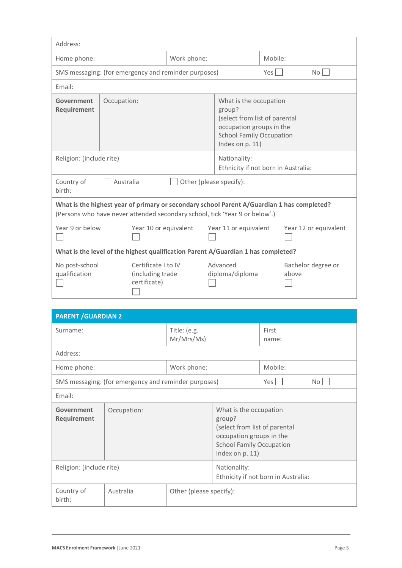| Address:                                                                                                                                                                  |                                      |                       |             |                                                                                                                                                     |                                                     |                       |                    |      |
|---------------------------------------------------------------------------------------------------------------------------------------------------------------------------|--------------------------------------|-----------------------|-------------|-----------------------------------------------------------------------------------------------------------------------------------------------------|-----------------------------------------------------|-----------------------|--------------------|------|
| Home phone:                                                                                                                                                               |                                      |                       | Work phone: |                                                                                                                                                     |                                                     | Mobile:               |                    |      |
| SMS messaging: (for emergency and reminder purposes)                                                                                                                      |                                      |                       |             |                                                                                                                                                     |                                                     | Yes l                 |                    | No I |
| Fmail:                                                                                                                                                                    |                                      |                       |             |                                                                                                                                                     |                                                     |                       |                    |      |
| Government<br>Requirement                                                                                                                                                 | Occupation:                          |                       |             | What is the occupation<br>group?<br>(select from list of parental<br>occupation groups in the<br><b>School Family Occupation</b><br>Index on p. 11) |                                                     |                       |                    |      |
| Religion: (include rite)                                                                                                                                                  |                                      |                       |             |                                                                                                                                                     | Nationality:<br>Ethnicity if not born in Australia: |                       |                    |      |
| Country of<br>birth:                                                                                                                                                      | Australia<br>Other (please specify): |                       |             |                                                                                                                                                     |                                                     |                       |                    |      |
| What is the highest year of primary or secondary school Parent A/Guardian 1 has completed?<br>(Persons who have never attended secondary school, tick 'Year 9 or below'.) |                                      |                       |             |                                                                                                                                                     |                                                     |                       |                    |      |
| Year 9 or below<br>Year 10 or equivalent                                                                                                                                  |                                      | Year 11 or equivalent |             |                                                                                                                                                     |                                                     | Year 12 or equivalent |                    |      |
| What is the level of the highest qualification Parent A/Guardian 1 has completed?                                                                                         |                                      |                       |             |                                                                                                                                                     |                                                     |                       |                    |      |
| No post-school<br>Certificate I to IV<br>qualification<br>(including trade)<br>certificate)                                                                               |                                      |                       |             | Advanced<br>diploma/diploma                                                                                                                         |                                                     | above                 | Bachelor degree or |      |

| <b>PARENT / GUARDIAN 2</b>                           |             |                            |                                                                                                                                                     |                                     |                 |
|------------------------------------------------------|-------------|----------------------------|-----------------------------------------------------------------------------------------------------------------------------------------------------|-------------------------------------|-----------------|
| Surname:                                             |             | Title: (e.g.<br>Mr/Mrs/Ms) |                                                                                                                                                     | First<br>name:                      |                 |
| Address:                                             |             |                            |                                                                                                                                                     |                                     |                 |
| Home phone:                                          |             | Work phone:                |                                                                                                                                                     | Mobile:                             |                 |
| SMS messaging: (for emergency and reminder purposes) |             |                            |                                                                                                                                                     | Yes I                               | No <sub>1</sub> |
| Email:                                               |             |                            |                                                                                                                                                     |                                     |                 |
| Government<br>Requirement                            | Occupation: |                            | What is the occupation<br>group?<br>(select from list of parental<br>occupation groups in the<br><b>School Family Occupation</b><br>Index on p. 11) |                                     |                 |
| Religion: (include rite)                             |             |                            | Nationality:                                                                                                                                        | Ethnicity if not born in Australia: |                 |
| Country of<br>birth:                                 | Australia   | Other (please specify):    |                                                                                                                                                     |                                     |                 |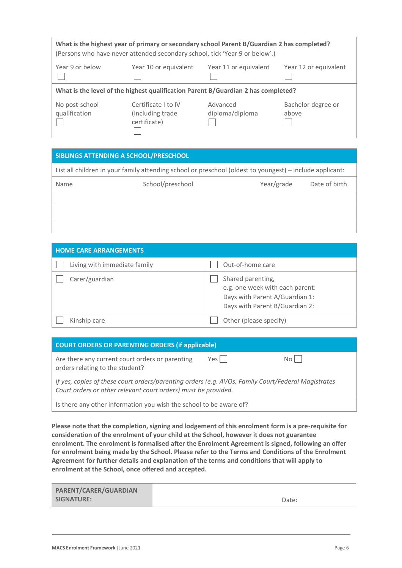| What is the highest year of primary or secondary school Parent B/Guardian 2 has completed?<br>(Persons who have never attended secondary school, tick 'Year 9 or below'.) |                                                         |                             |                             |
|---------------------------------------------------------------------------------------------------------------------------------------------------------------------------|---------------------------------------------------------|-----------------------------|-----------------------------|
| Year 9 or below                                                                                                                                                           | Year 10 or equivalent                                   | Year 11 or equivalent       | Year 12 or equivalent       |
| What is the level of the highest qualification Parent B/Guardian 2 has completed?                                                                                         |                                                         |                             |                             |
| No post-school<br>qualification                                                                                                                                           | Certificate I to IV<br>(including trade<br>certificate) | Advanced<br>diploma/diploma | Bachelor degree or<br>above |

#### **SIBLINGS ATTENDING A SCHOOL/PRESCHOOL**

| List all children in your family attending school or preschool (oldest to youngest) – include applicant: |                  |            |               |
|----------------------------------------------------------------------------------------------------------|------------------|------------|---------------|
| Name                                                                                                     | School/preschool | Year/grade | Date of birth |
|                                                                                                          |                  |            |               |
|                                                                                                          |                  |            |               |
|                                                                                                          |                  |            |               |

| <b>HOME CARE ARRANGEMENTS</b> |                                                                                                                          |  |  |  |
|-------------------------------|--------------------------------------------------------------------------------------------------------------------------|--|--|--|
| Living with immediate family  | Out-of-home care                                                                                                         |  |  |  |
| Carer/guardian                | Shared parenting,<br>e.g. one week with each parent:<br>Days with Parent A/Guardian 1:<br>Days with Parent B/Guardian 2: |  |  |  |
| Kinship care                  | Other (please specify)                                                                                                   |  |  |  |

| COURT ORDERS OR PARENTING ORDERS (if applicable)                                                                                                                     |     |      |
|----------------------------------------------------------------------------------------------------------------------------------------------------------------------|-----|------|
| Are there any current court orders or parenting<br>orders relating to the student?                                                                                   | Yes | Noll |
| If yes, copies of these court orders/parenting orders (e.g. AVOs, Family Court/Federal Magistrates<br>Court orders or other relevant court orders) must be provided. |     |      |
| Is there any other information you wish the school to be aware of?                                                                                                   |     |      |

**Please note that the completion, signing and lodgement of this enrolment form is a pre-requisite for consideration of the enrolment of your child at the School, however it does not guarantee enrolment. The enrolment is formalised after the Enrolment Agreement is signed, following an offer for enrolment being made by the School. Please refer to the Terms and Conditions of the Enrolment Agreement for further details and explanation of the terms and conditions that will apply to enrolment at the School, once offered and accepted.**

| PARENT/CARER/GUARDIAN |       |
|-----------------------|-------|
| <b>SIGNATURE:</b>     | Date: |